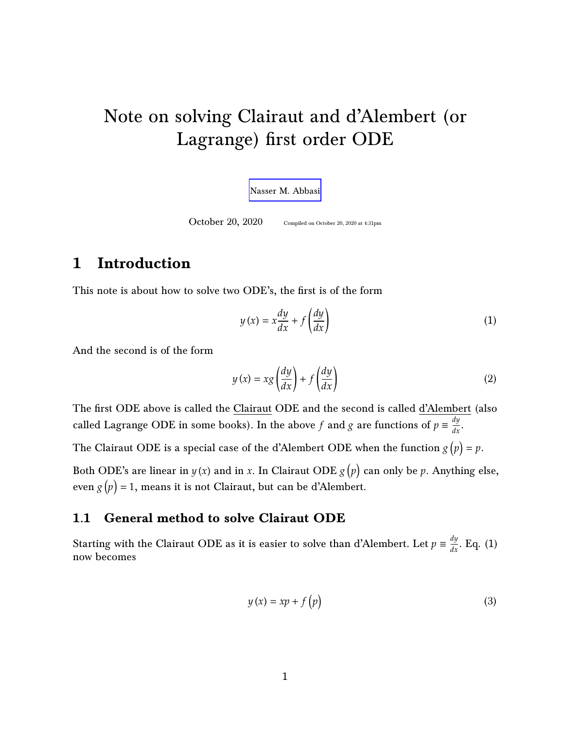# Note on solving Clairaut and d'Alembert (or Lagrange) first order ODE

[Nasser M. Abbasi](mailto:nma@12000.org)

October 20, 2020 Compiled on October 20, 2020 at 4:31pm

## 1 Introduction

This note is about how to solve two ODE's, the first is of the form

$$
y(x) = x\frac{dy}{dx} + f\left(\frac{dy}{dx}\right)
$$
 (1)

And the second is of the form

$$
y(x) = xg\left(\frac{dy}{dx}\right) + f\left(\frac{dy}{dx}\right)
$$
 (2)

The first ODE above is called the Clairaut ODE and the second is called d'Alembert (also called Lagrange ODE in some books). In the above f and g are functions of  $p \equiv \frac{dy}{dx}$ .

The Clairaut ODE is a special case of the d'Alembert ODE when the function  $g(p) = p$ .

Both ODE's are linear in  $y(x)$  and in x. In Clairaut ODE  $g(p)$  can only be p. Anything else, even  $g(p) = 1$ , means it is not Clairaut, but can be d'Alembert.

#### 1.1 General method to solve Clairaut ODE

Starting with the Clairaut ODE as it is easier to solve than d'Alembert. Let  $p = \frac{dy}{dx}$ . Eq. (1) now becomes

$$
y(x) = xp + f(p)
$$
 (3)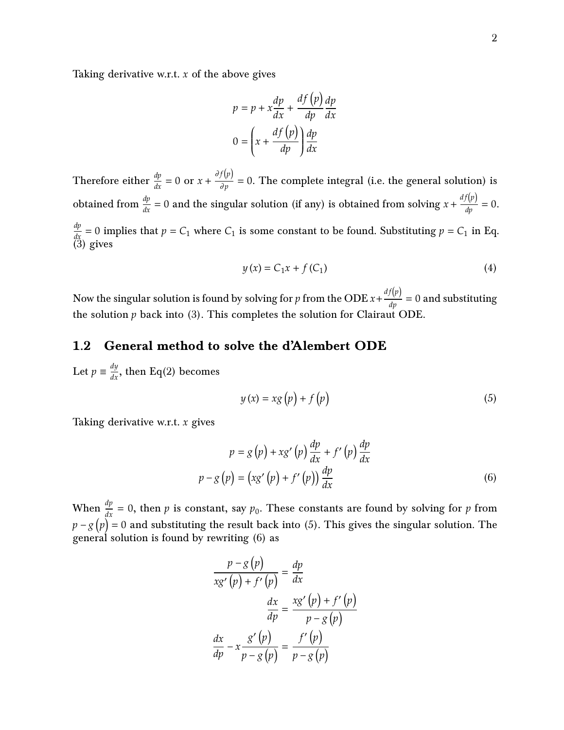Taking derivative w.r.t.  $x$  of the above gives

$$
p = p + x\frac{dp}{dx} + \frac{df(p)}{dp}\frac{dp}{dx}
$$

$$
0 = \left(x + \frac{df(p)}{dp}\right)\frac{dp}{dx}
$$

Therefore either  $\frac{dp}{dx} = 0$  or  $x + \frac{\partial f(p)}{\partial p} = 0$ . The complete integral (i.e. the general solution) is obtained from  $\frac{dp}{dx} = 0$  and the singular solution (if any) is obtained from solving  $x + \frac{df(p)}{dp} = 0$ .  $\frac{dp}{dx}$  = 0 implies that  $p = C_1$  where  $C_1$  is some constant to be found. Substituting  $p = C_1$  in Eq. (3) gives

$$
y(x) = C_1 x + f(C_1)
$$
 (4)

Now the singular solution is found by solving for p from the ODE  $x + \frac{df(p)}{dp} = 0$  and substituting the solution  $p$  back into (3). This completes the solution for Clairaut ODE.

#### General method to solve the d'Alembert ODE  $1.2\,$

Let  $p \equiv \frac{dy}{dx}$ , then Eq(2) becomes

$$
y(x) = xg(p) + f(p)
$$
 (5)

Taking derivative w.r.t.  $x$  gives

$$
p = g(p) + xg'(p)\frac{dp}{dx} + f'(p)\frac{dp}{dx}
$$

$$
p - g(p) = (xg'(p) + f'(p))\frac{dp}{dx}
$$
(6)

When  $\frac{dp}{dx} = 0$ , then p is constant, say  $p_0$ . These constants are found by solving for p from  $p - g(p) = 0$  and substituting the result back into (5). This gives the singular solution. The general solution is found by rewriting (6) as

$$
\frac{p - g(p)}{x g'(p) + f'(p)} = \frac{dp}{dx}
$$

$$
\frac{dx}{dp} = \frac{x g'(p) + f'(p)}{p - g(p)}
$$

$$
\frac{dx}{dp} - x \frac{g'(p)}{p - g(p)} = \frac{f'(p)}{p - g(p)}
$$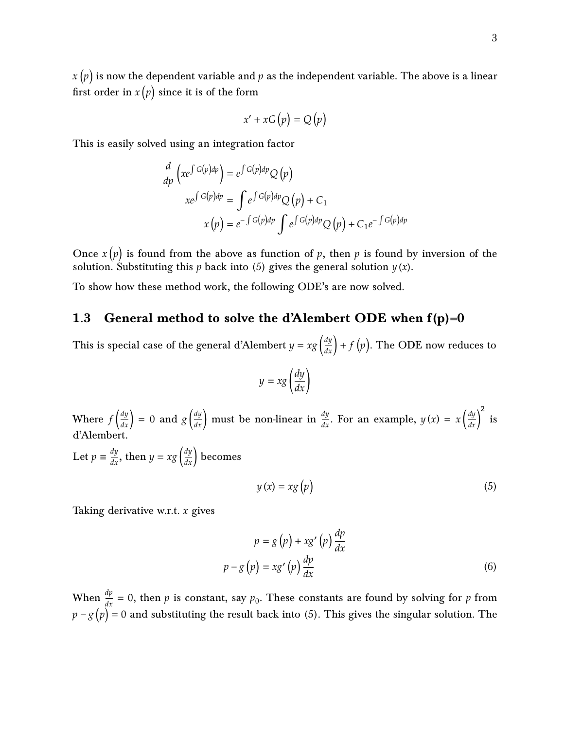$x(p)$  is now the dependent variable and p as the independent variable. The above is a linear first order in  $x(p)$  since it is of the form

$$
x' + xG(p) = Q(p)
$$

This is easily solved using an integration factor

$$
\frac{d}{dp}\left(xe^{\int G(p)dp}\right) = e^{\int G(p)dp}Q(p)
$$
\n
$$
xe^{\int G(p)dp} = \int e^{\int G(p)dp}Q(p) + C_1
$$
\n
$$
x(p) = e^{-\int G(p)dp} \int e^{\int G(p)dp}Q(p) + C_1e^{-\int G(p)dp}
$$

Once  $x(p)$  is found from the above as function of p, then p is found by inversion of the solution. Substituting this p back into (5) gives the general solution  $y(x)$ .

To show how these method work, the following ODE's are now solved.

#### 1.3 General method to solve the d'Alembert ODE when  $f(p)=0$

This is special case of the general d'Alembert  $y = xg\left(\frac{dy}{dx}\right) + f(p)$ . The ODE now reduces to

$$
y = xg\left(\frac{dy}{dx}\right)
$$

Where  $f\left(\frac{dy}{dx}\right) = 0$  and  $g\left(\frac{dy}{dx}\right)$  must be non-linear in  $\frac{dy}{dx}$ . For an example,  $y(x) = x\left(\frac{dy}{dx}\right)^2$  is d'Alembert.

Let  $p \equiv \frac{dy}{dx}$ , then  $y = xg\left(\frac{dy}{dx}\right)$  becomes

$$
y\left(x\right) = xg\left(p\right) \tag{5}
$$

Taking derivative w.r.t.  $x$  gives

$$
p = g(p) + xg'(p)\frac{dp}{dx}
$$

$$
p - g(p) = xg'(p)\frac{dp}{dx}
$$
(6)

When  $\frac{dp}{dx} = 0$ , then *p* is constant, say  $p_0$ . These constants are found by solving for *p* from  $p - g(p) = 0$  and substituting the result back into (5). This gives the singular solution. The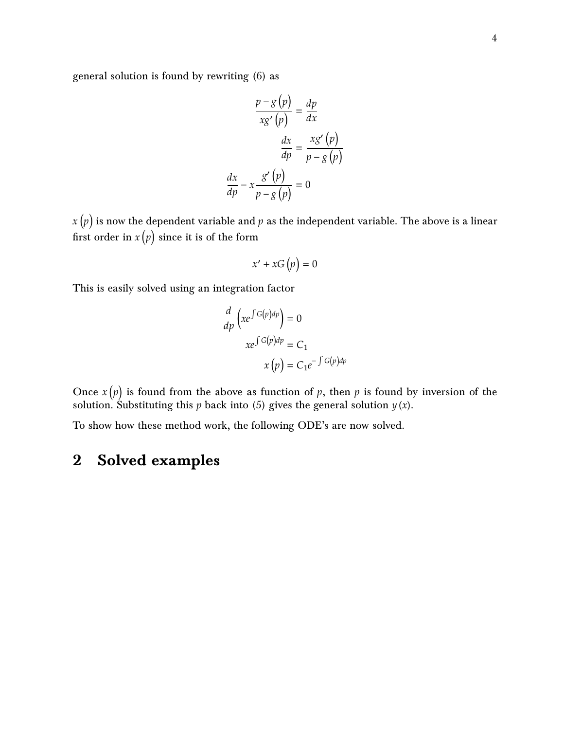general solution is found by rewriting (6) as

$$
\frac{p - g(p)}{x g'(p)} = \frac{dp}{dx}
$$

$$
\frac{dx}{dp} = \frac{x g'(p)}{p - g(p)}
$$

$$
\frac{dx}{dp} - x \frac{g'(p)}{p - g(p)} = 0
$$

 $x(p)$  is now the dependent variable and p as the independent variable. The above is a linear first order in  $x(p)$  since it is of the form

$$
x' + xG(p) = 0
$$

This is easily solved using an integration factor

$$
\frac{d}{dp} \left( xe^{\int G(p)dp} \right) = 0
$$

$$
xe^{\int G(p)dp} = C_1
$$

$$
x(p) = C_1 e^{-\int G(p)dp}
$$

Once  $x(p)$  is found from the above as function of p, then p is found by inversion of the solution. Substituting this p back into (5) gives the general solution  $y(x)$ .

To show how these method work, the following ODE's are now solved.

#### **Solved examples**  $\mathbf 2$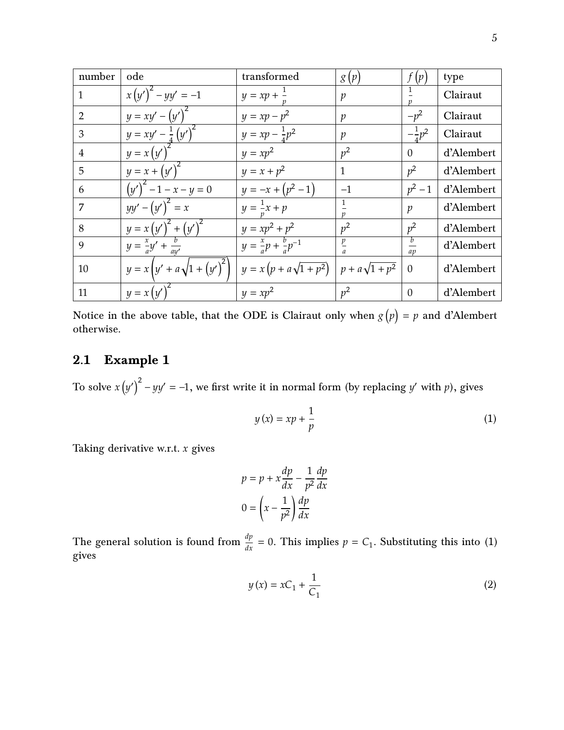| number         | ode                                  | transformed                            | g(p)                  | f(p)              | type       |
|----------------|--------------------------------------|----------------------------------------|-----------------------|-------------------|------------|
| 1              | $x(y')^2 - yy' = -1$                 | $y = xp + \frac{1}{z}$                 | $\mathfrak{p}$        |                   | Clairaut   |
| $\overline{2}$ | $y = xy' - (y')^2$                   | $y = xp - p^2$                         | $\mathcal{V}$         | $-p^2$            | Clairaut   |
| 3              | $y = xy' - \frac{1}{4}(y')^{2}$      | $y = xp - \frac{1}{4}p^2$              | $\mathfrak{p}$        | $-\frac{1}{4}p^2$ | Clairaut   |
| $\overline{4}$ | $y = x(y')$                          | $y = xp^2$                             | $p^2$                 | $\Omega$          | d'Alembert |
| 5              | $y = x + (y')^2$                     | $y = x + p^2$                          | 1                     | $p^2$             | d'Alembert |
| 6              | $(y')^{2} - 1 - x - y = 0$           | $y = -x + (p^2 - 1)$                   | $-1$                  | $p^2-1$           | d'Alembert |
| 7              | $yy' - (y')^{2} = x$                 | $y = \frac{1}{x}x + p$                 |                       | $\mathcal{p}$     | d'Alembert |
| 8              | $y = x (y')^{2} + (y')^{2}$          | $y = xp^2 + p^2$                       | $p^2$                 | $p^2$             | d'Alembert |
| 9              | $y = \frac{x}{a}y' + \frac{b}{ay'}$  | $y = \frac{x}{a}p + \frac{b}{a}p^{-1}$ |                       | ap                | d'Alembert |
| 10             | $y = x (y' + a \sqrt{1 + (y')^{2}})$ | $y = x (p + a \sqrt{1 + p^2})$         | $p + a\sqrt{1 + p^2}$ | $\Omega$          | d'Alembert |
| 11             | $y = x(y')$                          | $y = xp^2$                             | $v^2$                 | $\Omega$          | d'Alembert |

Notice in the above table, that the ODE is Clairaut only when  $g(p) = p$  and d'Alembert otherwise.

### 2.1 Example 1

To solve  $x(y')^2 - yy' = -1$ , we first write it in normal form (by replacing y' with p), gives

$$
y(x) = xp + \frac{1}{p}
$$
 (1)

Taking derivative w.r.t.  $x$  gives

$$
p = p + x\frac{dp}{dx} - \frac{1}{p^2}\frac{dp}{dx}
$$

$$
0 = \left(x - \frac{1}{p^2}\right)\frac{dp}{dx}
$$

The general solution is found from  $\frac{dp}{dx} = 0$ . This implies  $p = C_1$ . Substituting this into (1) gives

$$
y(x) = xC_1 + \frac{1}{C_1}
$$
 (2)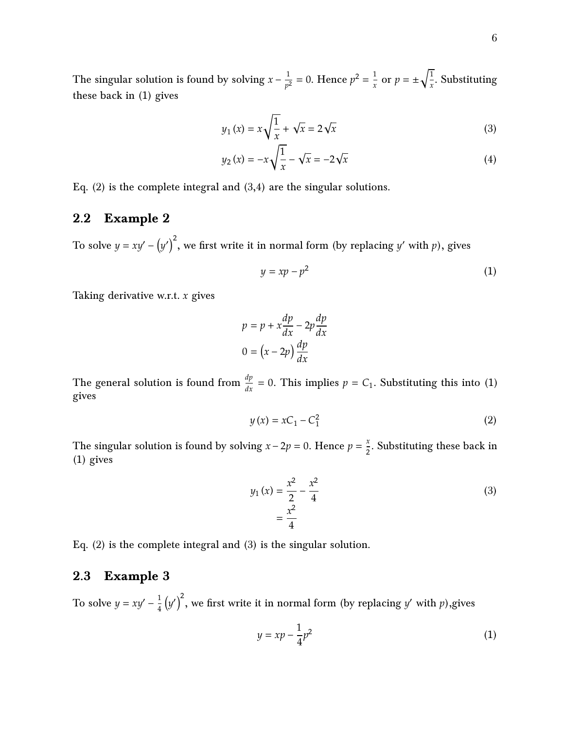The singular solution is found by solving  $x - \frac{1}{x^2}$  $\frac{1}{p^2} = 0$ . Hence  $p^2 = \frac{1}{x}$  $\frac{1}{x}$  or  $p = \pm \sqrt{\frac{1}{x}}$  $\frac{1}{x}$ . Substituting these back in (1) gives

$$
y_1(x) = x\sqrt{\frac{1}{x}} + \sqrt{x} = 2\sqrt{x}
$$
 (3)

$$
y_2(x) = -x\sqrt{\frac{1}{x}} - \sqrt{x} = -2\sqrt{x}
$$
 (4)

Eq.  $(2)$  is the complete integral and  $(3,4)$  are the singular solutions.

#### 2.2 Example 2

To solve  $y = xy' - (y')^2$ , we first write it in normal form (by replacing y' with p), gives

$$
y = xp - p^2 \tag{1}
$$

Taking derivative w.r.t.  $x$  gives

$$
p = p + x\frac{dp}{dx} - 2p\frac{dp}{dx}
$$

$$
0 = (x - 2p)\frac{dp}{dx}
$$

The general solution is found from  $\frac{dp}{dx} = 0$ . This implies  $p = C_1$ . Substituting this into (1) gives

$$
y(x) = xC_1 - C_1^2
$$
 (2)

The singular solution is found by solving  $x - 2p = 0$ . Hence  $p = \frac{x}{2}$  $\frac{1}{2}$ . Substituting these back in (1) gives

$$
y_1(x) = \frac{x^2}{2} - \frac{x^2}{4}
$$
  
= 
$$
\frac{x^2}{4}
$$
 (3)

Eq. (2) is the complete integral and (3) is the singular solution.

#### 2.3 Example 3

To solve  $y = xy' - \frac{1}{4}$  $\frac{1}{4}\left(y'\right)^2$ , we first write it in normal form (by replacing  $y'$  with  $p$ ),gives

$$
y = xp - \frac{1}{4}p^2 \tag{1}
$$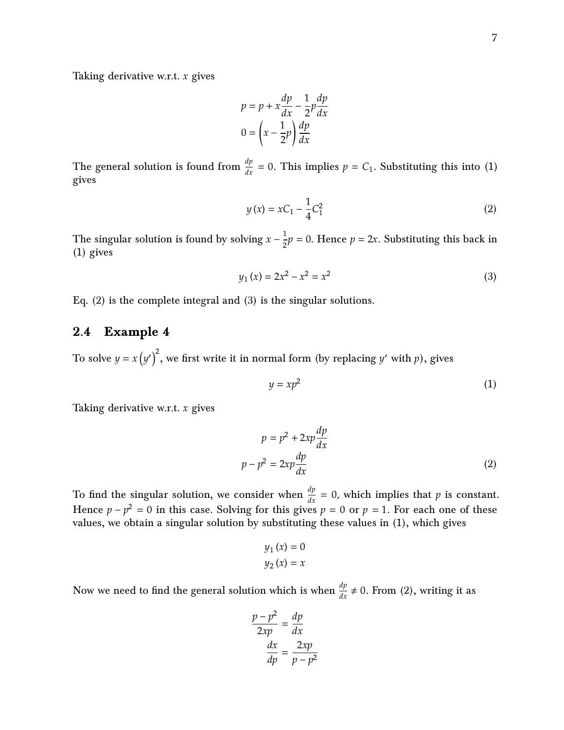Taking derivative w.r.t.  $x$  gives

$$
p = p + x\frac{dp}{dx} - \frac{1}{2}p\frac{dp}{dx}
$$

$$
0 = \left(x - \frac{1}{2}p\right)\frac{dp}{dx}
$$

The general solution is found from  $\frac{dp}{dx} = 0$ . This implies  $p = C_1$ . Substituting this into (1) gives

$$
y(x) = xC_1 - \frac{1}{4}C_1^2\tag{2}
$$

The singular solution is found by solving  $x - \frac{1}{2}$  $\frac{1}{2}p = 0$ . Hence  $p = 2x$ . Substituting this back in (1) gives

$$
y_1(x) = 2x^2 - x^2 = x^2 \tag{3}
$$

Eq. (2) is the complete integral and (3) is the singular solutions.

#### 2.4 Example 4

To solve  $y = x(y')^2$ , we first write it in normal form (by replacing y' with p), gives

$$
y = xp^2 \tag{1}
$$

Taking derivative w.r.t.  $x$  gives

$$
p = p^2 + 2xp\frac{dp}{dx}
$$
  

$$
p - p^2 = 2xp\frac{dp}{dx}
$$
 (2)

To find the singular solution, we consider when  $\frac{dp}{dx} = 0$ , which implies that p is constant. Hence  $p - p^2 = 0$  in this case. Solving for this gives  $p = 0$  or  $p = 1$ . For each one of these values, we obtain a singular solution by substituting these values in (1), which gives

$$
y_1(x) = 0
$$
  

$$
y_2(x) = x
$$

Now we need to find the general solution which is when  $\frac{dp}{dx} \neq 0$ . From (2), writing it as

$$
\frac{p - p^2}{2xp} = \frac{dp}{dx}
$$

$$
\frac{dx}{dp} = \frac{2xp}{p - p^2}
$$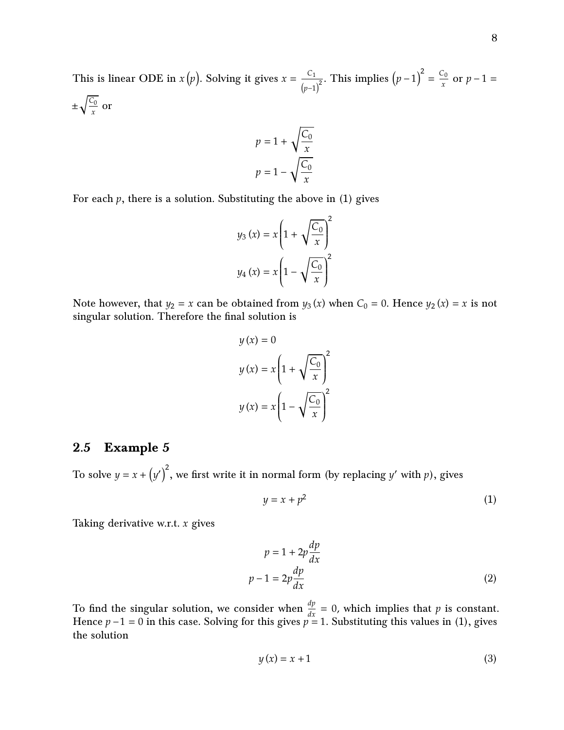This is linear ODE in  $x(p)$ . Solving it gives  $x = \frac{C_1}{\sqrt{C_1}}$  $\frac{C_1}{(p-1)^2}$ . This implies  $(p-1)^2 = \frac{C_0}{x}$  $\frac{y}{x}$  or  $p - 1 =$  $\pm\sqrt{\frac{C_0}{x}}$  $\frac{y}{x}$  or

$$
p = 1 + \sqrt{\frac{C_0}{x}}
$$

$$
p = 1 - \sqrt{\frac{C_0}{x}}
$$

For each  $p$ , there is a solution. Substituting the above in (1) gives

$$
y_3(x) = x \left( 1 + \sqrt{\frac{C_0}{x}} \right)^2
$$

$$
y_4(x) = x \left( 1 - \sqrt{\frac{C_0}{x}} \right)^2
$$

Note however, that  $y_2 = x$  can be obtained from  $y_3(x)$  when  $C_0 = 0$ . Hence  $y_2(x) = x$  is not singular solution. Therefore the final solution is

$$
y(x) = 0
$$
  

$$
y(x) = x \left(1 + \sqrt{\frac{C_0}{x}}\right)^2
$$
  

$$
y(x) = x \left(1 - \sqrt{\frac{C_0}{x}}\right)^2
$$

#### 2.5 Example 5

To solve  $y = x + (y')^2$ , we first write it in normal form (by replacing y' with p), gives

$$
y = x + p^2 \tag{1}
$$

Taking derivative w.r.t.  $x$  gives

$$
p = 1 + 2p \frac{dp}{dx}
$$
  

$$
p - 1 = 2p \frac{dp}{dx}
$$
 (2)

To find the singular solution, we consider when  $\frac{dp}{dx} = 0$ , which implies that p is constant. Hence  $p-1=0$  in this case. Solving for this gives  $p=1$ . Substituting this values in (1), gives the solution

$$
y(x) = x + 1 \tag{3}
$$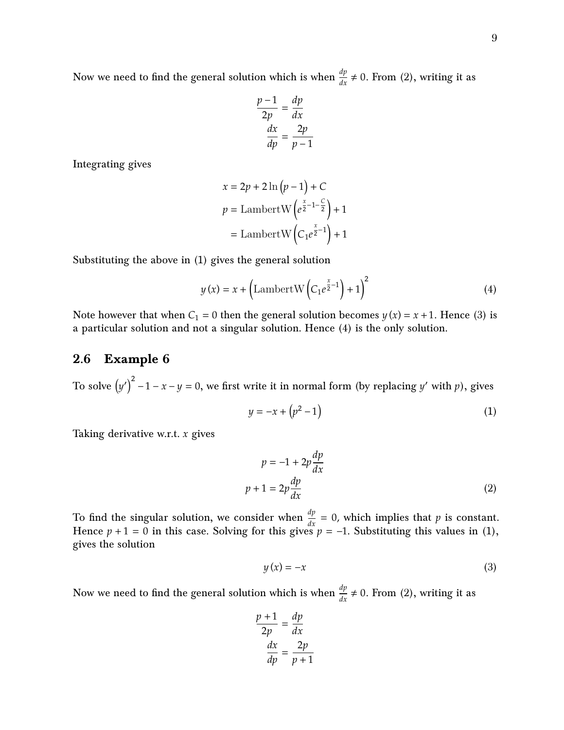Now we need to find the general solution which is when  $\frac{dp}{dx} \neq 0$ . From (2), writing it as

$$
\frac{p-1}{2p} = \frac{dp}{dx}
$$

$$
\frac{dx}{dp} = \frac{2p}{p-1}
$$

Integrating gives

$$
x = 2p + 2\ln(p-1) + C
$$
  

$$
p = \text{LambertW}\left(e^{\frac{x}{2}-1-\frac{C}{2}}\right) + 1
$$
  

$$
= \text{LambertW}\left(C_1e^{\frac{x}{2}-1}\right) + 1
$$

Substituting the above in (1) gives the general solution

$$
y(x) = x + \left(\text{LambertW}\left(C_1 e^{\frac{x}{2}-1}\right) + 1\right)^2\tag{4}
$$

Note however that when  $C_1 = 0$  then the general solution becomes  $y(x) = x + 1$ . Hence (3) is a particular solution and not a singular solution. Hence (4) is the only solution.

#### 2.6 Example 6

To solve  $(y')^2 - 1 - x - y = 0$ , we first write it in normal form (by replacing y' with p), gives

$$
y = -x + \left(p^2 - 1\right) \tag{1}
$$

Taking derivative w.r.t.  $x$  gives

$$
p = -1 + 2p \frac{dp}{dx}
$$
  

$$
p + 1 = 2p \frac{dp}{dx}
$$
 (2)

To find the singular solution, we consider when  $\frac{dp}{dx} = 0$ , which implies that p is constant. Hence  $p + 1 = 0$  in this case. Solving for this gives  $p = -1$ . Substituting this values in (1), gives the solution

$$
y(x) = -x \tag{3}
$$

Now we need to find the general solution which is when  $\frac{dp}{dx} \neq 0$ . From (2), writing it as

$$
\frac{p+1}{2p} = \frac{dp}{dx}
$$

$$
\frac{dx}{dp} = \frac{2p}{p+1}
$$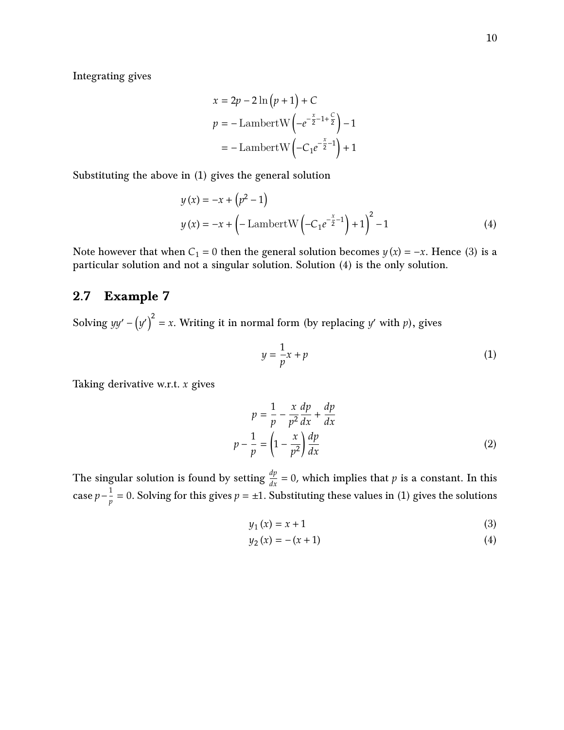Integrating gives

$$
x = 2p - 2\ln(p+1) + C
$$
  

$$
p = -\text{LambertW}\left(-e^{-\frac{x}{2}-1+\frac{C}{2}}\right) - 1
$$
  

$$
= -\text{LambertW}\left(-C_1e^{-\frac{x}{2}-1}\right) + 1
$$

Substituting the above in (1) gives the general solution

$$
y(x) = -x + (p^{2} - 1)
$$
  
\n
$$
y(x) = -x + (-\text{LambertW}(-C_{1}e^{-\frac{x}{2}-1}) + 1)^{2} - 1
$$
\n(4)

Note however that when  $C_1 = 0$  then the general solution becomes  $y(x) = -x$ . Hence (3) is a particular solution and not a singular solution. Solution (4) is the only solution.

### 2.7 Example 7

Solving  $yy' - (y')^2 = x$ . Writing it in normal form (by replacing y' with p), gives

$$
y = -\frac{1}{p}x + p \tag{1}
$$

Taking derivative w.r.t.  $x$  gives

$$
p = \frac{1}{p} - \frac{x}{p^2} \frac{dp}{dx} + \frac{dp}{dx}
$$

$$
p - \frac{1}{p} = \left(1 - \frac{x}{p^2}\right) \frac{dp}{dx}
$$
(2)

The singular solution is found by setting  $\frac{dp}{dx} = 0$ , which implies that  $p$  is a constant. In this case  $p-\frac{1}{n}$  $\frac{1}{p}=0.$  Solving for this gives  $p=\pm 1.$  Substituting these values in (1) gives the solutions

$$
y_1(x) = x + 1 \tag{3}
$$

$$
y_2(x) = -(x+1)
$$
 (4)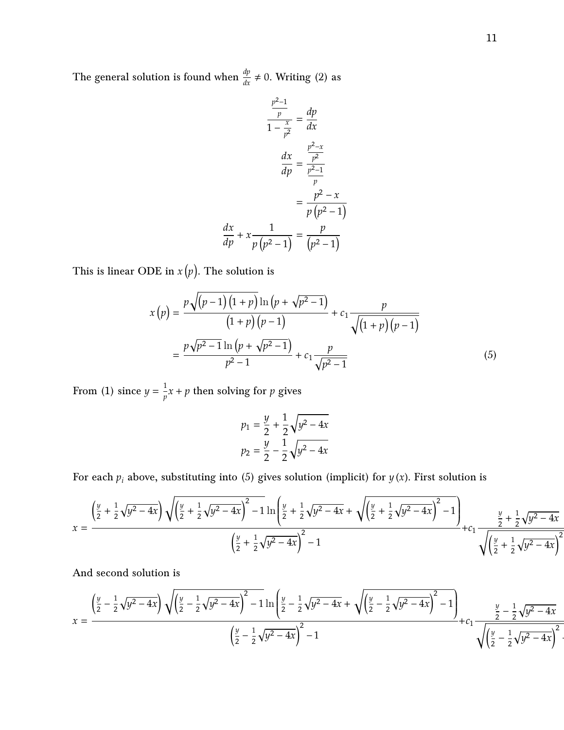The general solution is found when  $\frac{dp}{dx}\neq 0.$  Writing (2) as

$$
\frac{\frac{p^2 - 1}{p}}{1 - \frac{x}{p^2}} = \frac{dp}{dx}
$$

$$
\frac{dx}{dp} = \frac{\frac{p^2 - x}{p^2}}{\frac{p^2 - 1}{p}}
$$

$$
= \frac{p^2 - x}{p(p^2 - 1)}
$$

$$
\frac{dx}{dp} + x \frac{1}{p(p^2 - 1)} = \frac{p}{(p^2 - 1)}
$$

This is linear ODE in  $x(p)$ . The solution is

$$
x(p) = \frac{p\sqrt{(p-1)(1+p)}\ln(p+\sqrt{p^2-1})}{(1+p)(p-1)} + c_1 \frac{p}{\sqrt{(1+p)(p-1)}}
$$

$$
= \frac{p\sqrt{p^2-1}\ln(p+\sqrt{p^2-1})}{p^2-1} + c_1 \frac{p}{\sqrt{p^2-1}}
$$
(5)

From (1) since  $y = \frac{1}{p}x + p$  then solving for p gives

$$
p_1 = \frac{y}{2} + \frac{1}{2}\sqrt{y^2 - 4x}
$$

$$
p_2 = \frac{y}{2} - \frac{1}{2}\sqrt{y^2 - 4x}
$$

For each  $p_i$  above, substituting into (5) gives solution (implicit) for  $y(x)$ . First solution is

$$
x = \frac{\left(\frac{y}{2} + \frac{1}{2}\sqrt{y^2 - 4x}\right)\sqrt{\left(\frac{y}{2} + \frac{1}{2}\sqrt{y^2 - 4x}\right)^2 - 1}\ln\left(\frac{y}{2} + \frac{1}{2}\sqrt{y^2 - 4x} + \sqrt{\left(\frac{y}{2} + \frac{1}{2}\sqrt{y^2 - 4x}\right)^2 - 1}\right)}{x^2 + \frac{y}{2} + \frac{y}{2}\sqrt{y^2 - 4x}}
$$
\n
$$
+c_1 \frac{\frac{y}{2} + \frac{1}{2}\sqrt{y^2 - 4x}}{\sqrt{\left(\frac{y}{2} + \frac{1}{2}\sqrt{y^2 - 4x}\right)^2 - 1}}
$$

And second solution is

$$
x = \frac{\left(\frac{y}{2} - \frac{1}{2}\sqrt{y^2 - 4x}\right)\sqrt{\left(\frac{y}{2} - \frac{1}{2}\sqrt{y^2 - 4x}\right)^2 - 1}\ln\left(\frac{y}{2} - \frac{1}{2}\sqrt{y^2 - 4x} + \sqrt{\left(\frac{y}{2} - \frac{1}{2}\sqrt{y^2 - 4x}\right)^2 - 1}\right)}{x^2 - \frac{y}{2} - \frac{1}{2}\sqrt{y^2 - 4x}}
$$
\n
$$
+ c_1 \frac{\frac{y}{2} - \frac{1}{2}\sqrt{y^2 - 4x}}{\sqrt{\left(\frac{y}{2} - \frac{1}{2}\sqrt{y^2 - 4x}\right)^2}}
$$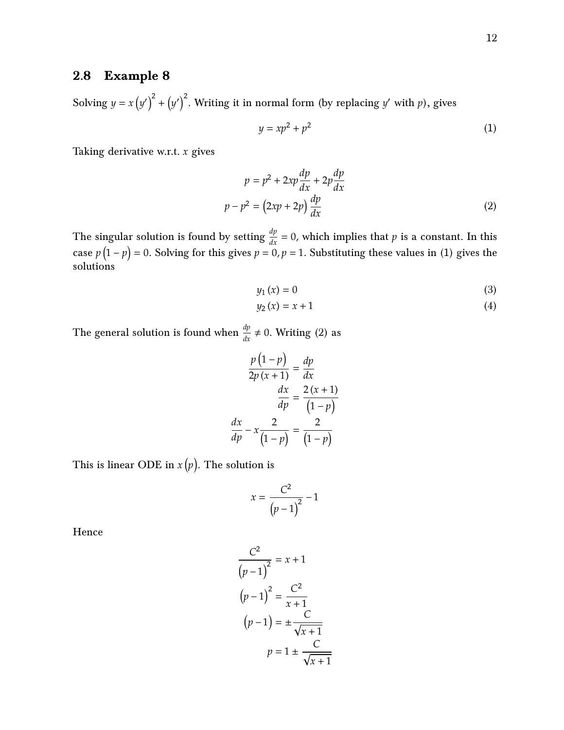#### 2.8 Example 8

Solving  $y = x(y')^{2} + (y')^{2}$ . Writing it in normal form (by replacing y' with p), gives

$$
y = xp^2 + p^2 \tag{1}
$$

Taking derivative w.r.t.  $x$  gives

$$
p = p2 + 2xp\frac{dp}{dx} + 2p\frac{dp}{dx}
$$

$$
p - p2 = (2xp + 2p)\frac{dp}{dx}
$$
(2)

The singular solution is found by setting  $\frac{dp}{dx} = 0$ , which implies that  $p$  is a constant. In this case  $p(1-p) = 0$ . Solving for this gives  $p = 0$ ,  $p = 1$ . Substituting these values in (1) gives the solutions

$$
y_1(x) = 0 \tag{3}
$$

$$
y_2(x) = x + 1 \tag{4}
$$

The general solution is found when  $\frac{dp}{dx} \neq 0$ . Writing (2) as

$$
\frac{p(1-p)}{2p(x+1)} = \frac{dp}{dx}
$$

$$
\frac{dx}{dp} = \frac{2(x+1)}{(1-p)}
$$

$$
\frac{dx}{dp} - x\frac{2}{(1-p)} = \frac{2}{(1-p)}
$$

This is linear ODE in  $x(p)$ . The solution is

$$
x = \frac{C^2}{\left(p-1\right)^2} - 1
$$

Hence

$$
\frac{C^2}{(p-1)^2} = x+1
$$

$$
(p-1)^2 = \frac{C^2}{x+1}
$$

$$
(p-1) = \pm \frac{C}{\sqrt{x+1}}
$$

$$
p = 1 \pm \frac{C}{\sqrt{x+1}}
$$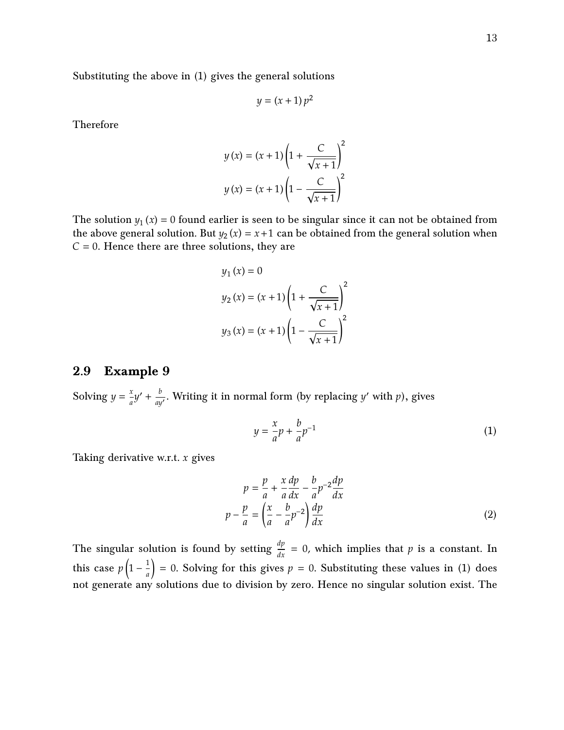Substituting the above in (1) gives the general solutions

$$
y = (x+1)p^2
$$

Therefore

$$
y(x) = (x+1)\left(1 + \frac{C}{\sqrt{x+1}}\right)^2
$$

$$
y(x) = (x+1)\left(1 - \frac{C}{\sqrt{x+1}}\right)^2
$$

The solution  $y_1(x) = 0$  found earlier is seen to be singular since it can not be obtained from the above general solution. But  $y_2(x) = x+1$  can be obtained from the general solution when  $C = 0$ . Hence there are three solutions, they are

$$
y_1(x) = 0
$$
  

$$
y_2(x) = (x+1)\left(1 + \frac{C}{\sqrt{x+1}}\right)^2
$$
  

$$
y_3(x) = (x+1)\left(1 - \frac{C}{\sqrt{x+1}}\right)^2
$$

#### 2.9 Example 9

Solving  $y = \frac{x}{a}$  $\frac{x}{a}y' + \frac{b}{ay}$  $\frac{\partial}{\partial q}$ . Writing it in normal form (by replacing  $y'$  with  $p$ ), gives

$$
y = \frac{x}{a}p + \frac{b}{a}p^{-1}
$$
 (1)

Taking derivative w.r.t.  $x$  gives

$$
p = \frac{p}{a} + \frac{x}{a} \frac{dp}{dx} - \frac{b}{a} p^{-2} \frac{dp}{dx}
$$
  

$$
p - \frac{p}{a} = \left(\frac{x}{a} - \frac{b}{a} p^{-2}\right) \frac{dp}{dx}
$$
 (2)

The singular solution is found by setting  $\frac{dp}{dx} = 0$ , which implies that p is a constant. In this case  $p\left(1-\frac{1}{a}\right)=0$ . Solving for this gives  $p=0$ . Substituting these values in (1) does not generate any solutions due to division by zero. Hence no singular solution exist. The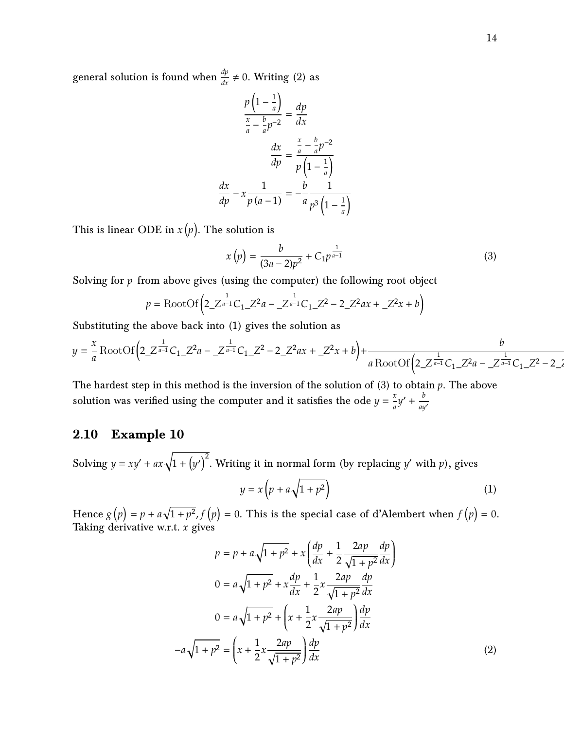general solution is found when  $\frac{dp}{dx} \neq 0$ . Writing (2) as

$$
\frac{p\left(1-\frac{1}{a}\right)}{\frac{x}{a}-\frac{b}{a}p^{-2}}=\frac{dp}{dx}
$$

$$
\frac{dx}{dp}=\frac{\frac{x}{a}-\frac{b}{a}p^{-2}}{p\left(1-\frac{1}{a}\right)}
$$

$$
\frac{dx}{dp}-x\frac{1}{p\left(a-1\right)}=-\frac{b}{a}\frac{1}{p^3\left(1-\frac{1}{a}\right)}
$$

This is linear ODE in  $x(p)$ . The solution is

$$
x(p) = \frac{b}{(3a-2)p^2} + C_1 p^{\frac{1}{a-1}}
$$
 (3)

Solving for  $p$  from above gives (using the computer) the following root object

$$
p = \text{RootOf}\left(2 \_Z^{\frac{1}{a-1}} C_1 \_Z^2 a - \_Z^{\frac{1}{a-1}} C_1 \_Z^2 - 2 \_Z^2 a x + \_Z^2 x + b\right)
$$

Substituting the above back into (1) gives the solution as

$$
y = -\frac{x}{a} \text{RootOf} \left( 2 \underline{Z}^{\frac{1}{a-1}} C_1 \underline{Z}^2 a - \underline{Z}^{\frac{1}{a-1}} C_1 \underline{Z}^2 - 2 \underline{Z}^2 a x + \underline{Z}^2 x + b \right) + \frac{b}{a \text{RootOf} \left( 2 \underline{Z}^{\frac{1}{a-1}} C_1 \underline{Z}^2 a - \underline{Z}^{\frac{1}{a-1}} C_1 \underline{Z}^2 - 2 \underline{Z}^2 a x + \underline{Z}^2 x + b \right)}
$$

The hardest step in this method is the inversion of the solution of  $(3)$  to obtain  $p$ . The above solution was verified using the computer and it satisfies the ode  $y = \frac{x}{a}$  $\frac{x}{a}y' + \frac{b}{ay}$ ′

#### 2.10 Example 10

Solving  $y = xy' + ax\sqrt{1 + (y')^2}$ . Writing it in normal form (by replacing y' with p), gives

$$
y = x\left(p + a\sqrt{1 + p^2}\right) \tag{1}
$$

Hence  $g(p) = p + a\sqrt{1 + p^2}$ ,  $f(p) = 0$ . This is the special case of d'Alembert when  $f(p) = 0$ . Taking derivative w.r.t.  $x$  gives

$$
p = p + a\sqrt{1 + p^2} + x\left(\frac{dp}{dx} + \frac{1}{2}\frac{2ap}{\sqrt{1 + p^2}}\frac{dp}{dx}\right)
$$
  
\n
$$
0 = a\sqrt{1 + p^2} + x\frac{dp}{dx} + \frac{1}{2}x\frac{2ap}{\sqrt{1 + p^2}}\frac{dp}{dx}
$$
  
\n
$$
0 = a\sqrt{1 + p^2} + \left(x + \frac{1}{2}x\frac{2ap}{\sqrt{1 + p^2}}\right)\frac{dp}{dx}
$$
  
\n
$$
-a\sqrt{1 + p^2} = \left(x + \frac{1}{2}x\frac{2ap}{\sqrt{1 + p^2}}\right)\frac{dp}{dx}
$$
 (2)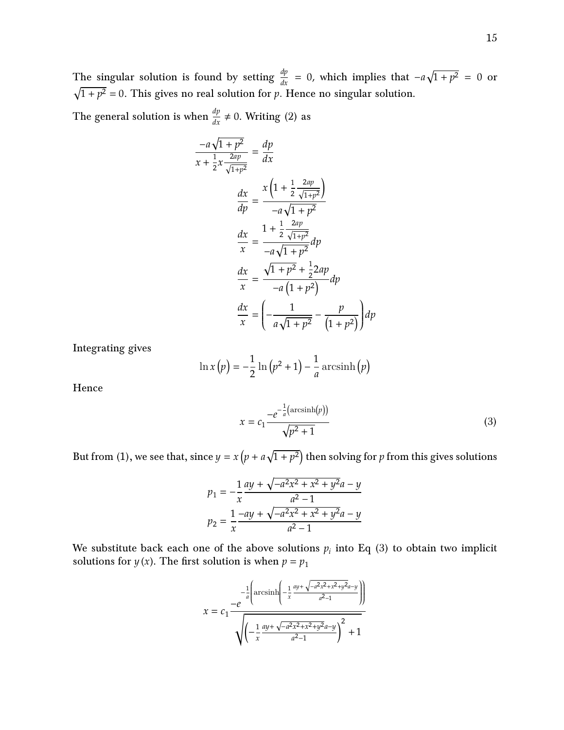The singular solution is found by setting  $\frac{dp}{dx} = 0$ , which implies that  $-a\sqrt{1+p^2} = 0$  or  $\sqrt{1 + p^2} = 0$ . This gives no real solution for p. Hence no singular solution.

The general solution is when  $\frac{dp}{dx} \neq 0$ . Writing (2) as

$$
\frac{-a\sqrt{1+p^2}}{x+\frac{1}{2}x\frac{2ap}{\sqrt{1+p^2}}} = \frac{dp}{dx}
$$

$$
\frac{dx}{dp} = \frac{x\left(1+\frac{1}{2}\frac{2ap}{\sqrt{1+p^2}}\right)}{-a\sqrt{1+p^2}}
$$

$$
\frac{dx}{x} = \frac{1+\frac{1}{2}\frac{2ap}{\sqrt{1+p^2}}}{-a\sqrt{1+p^2}}dp
$$

$$
\frac{dx}{x} = \frac{\sqrt{1+p^2} + \frac{1}{2}2ap}{-a(1+p^2)}dp
$$

$$
\frac{dx}{x} = \left(-\frac{1}{a\sqrt{1+p^2}} - \frac{p}{(1+p^2)}\right)dp
$$

Integrating gives

$$
\ln x(p) = -\frac{1}{2}\ln(p^2+1) - \frac{1}{a}\operatorname{arcsinh}(p)
$$

Hence

$$
x = c_1 \frac{-e^{-\frac{1}{a}(\arcsinh(p))}}{\sqrt{p^2 + 1}}
$$
 (3)

But from (1), we see that, since  $y = x(p + a\sqrt{1 + p^2})$  then solving for  $p$  from this gives solutions

$$
p_1 = -\frac{1}{x} \frac{ay + \sqrt{-a^2x^2 + x^2 + y^2}a - y}{a^2 - 1}
$$

$$
p_2 = \frac{1 - ay + \sqrt{-a^2x^2 + x^2 + y^2}a - y}{a^2 - 1}
$$

We substitute back each one of the above solutions  $p_i$  into Eq (3) to obtain two implicit solutions for  $y(x)$ . The first solution is when  $p = p_1$ 

$$
x = c_1 \frac{-e^{-\frac{1}{a}\left(\arcsin\left(-\frac{1}{x}\frac{ay + \sqrt{-a^2x^2 + x^2 + y^2}a - y}{a^2 - 1}\right)\right)}}{\sqrt{\left(-\frac{1}{x}\frac{ay + \sqrt{-a^2x^2 + x^2 + y^2}a - y}{a^2 - 1}\right)^2 + 1}}
$$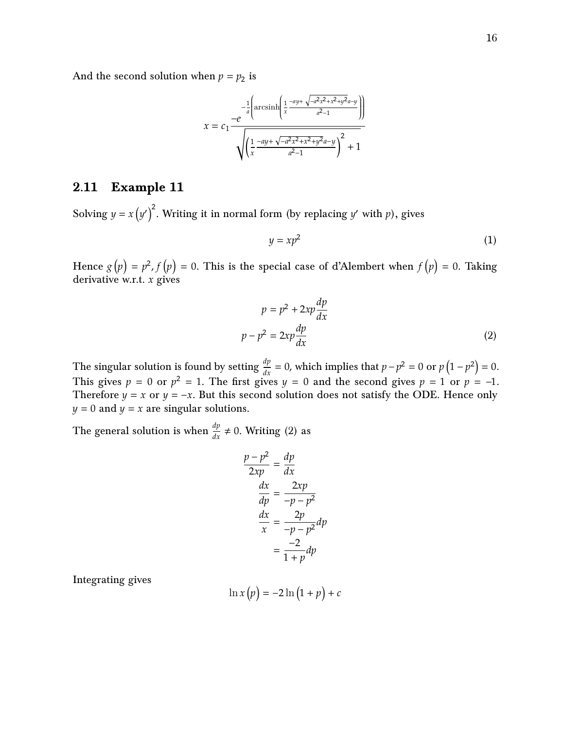And the second solution when  $p = p_2$  is

$$
x = c_1 \frac{-e^{-\frac{1}{a}\left(\arcsin\left(\frac{1}{x} - \frac{ay + \sqrt{-a^2x^2 + x^2 + y^2a - y}}{a^2 - 1}\right)\right)}}{\sqrt{\left(\frac{1}{x} \frac{-ay + \sqrt{-a^2x^2 + x^2 + y^2a - y}}{a^2 - 1}\right)^2 + 1}}
$$

#### 2.11 Example 11

Solving  $y = x(y')^2$ . Writing it in normal form (by replacing y' with p), gives

$$
y = xp^2 \tag{1}
$$

Hence  $g(p) = p^2$ ,  $f(p) = 0$ . This is the special case of d'Alembert when  $f(p) = 0$ . Taking derivative w.r.t.  $x$  gives

$$
p = p^2 + 2xp\frac{dp}{dx}
$$
  

$$
p - p^2 = 2xp\frac{dp}{dx}
$$
 (2)

The singular solution is found by setting  $\frac{dp}{dx} = 0$ , which implies that  $p - p^2 = 0$  or  $p(1 - p^2) = 0$ . This gives  $p = 0$  or  $p^2 = 1$ . The first gives  $y = 0$  and the second gives  $p = 1$  or  $p = -1$ . Therefore  $y = x$  or  $y = -x$ . But this second solution does not satisfy the ODE. Hence only  $y = 0$  and  $y = x$  are singular solutions.

The general solution is when  $\frac{dp}{dx} \neq 0$ . Writing (2) as

$$
\frac{p - p^2}{2xp} = \frac{dp}{dx}
$$

$$
\frac{dx}{dp} = \frac{2xp}{-p - p^2}
$$

$$
\frac{dx}{x} = \frac{2p}{-p - p^2}dp
$$

$$
= \frac{-2}{1 + p}dp
$$

Integrating gives

$$
\ln x(p) = -2\ln(1+p) + c
$$